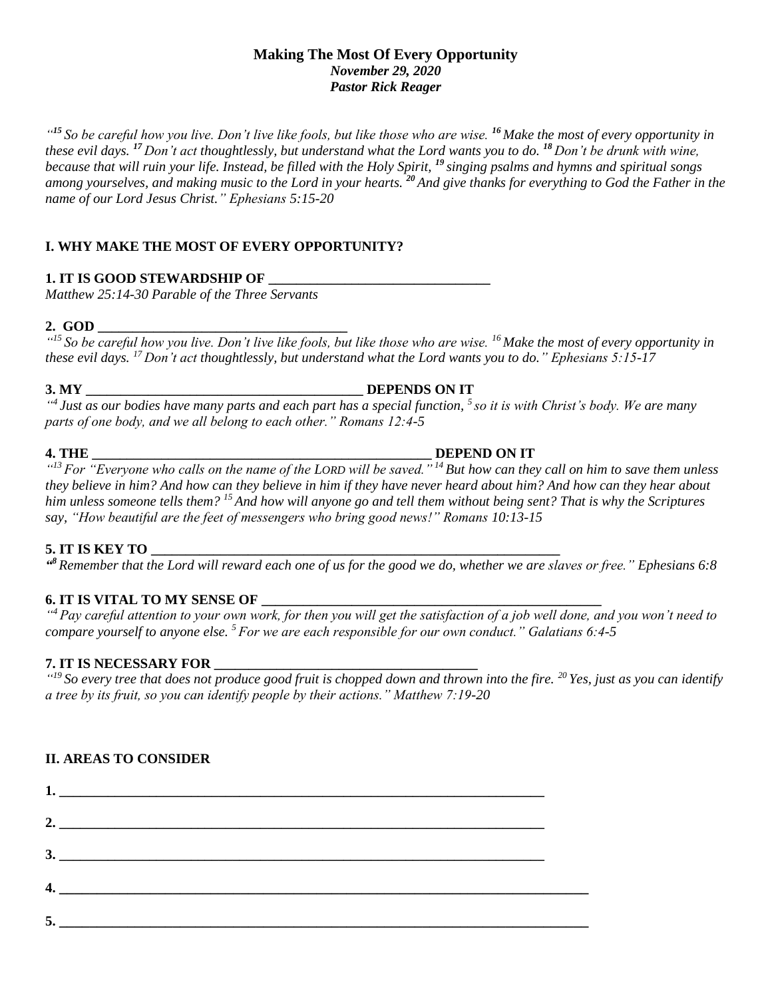#### **Making The Most Of Every Opportunity** *November 29, 2020 Pastor Rick Reager*

*" <sup>15</sup> So be careful how you live. Don't live like fools, but like those who are wise. <sup>16</sup> Make the most of every opportunity in these evil days. <sup>17</sup> Don't act thoughtlessly, but understand what the Lord wants you to do. <sup>18</sup> Don't be drunk with wine, because that will ruin your life. Instead, be filled with the Holy Spirit, <sup>19</sup> singing psalms and hymns and spiritual songs among yourselves, and making music to the Lord in your hearts. <sup>20</sup> And give thanks for everything to God the Father in the name of our Lord Jesus Christ." Ephesians 5:15-20*

# **I. WHY MAKE THE MOST OF EVERY OPPORTUNITY?**

# **1. IT IS GOOD STEWARDSHIP OF \_\_\_\_\_\_\_\_\_\_\_\_\_\_\_\_\_\_\_\_\_\_\_\_\_\_\_\_\_\_\_\_**

*Matthew 25:14-30 Parable of the Three Servants*

# **2. GOD \_\_\_\_\_\_\_\_\_\_\_\_\_\_\_\_\_\_\_\_\_\_\_\_\_\_\_\_\_\_\_\_\_\_\_\_**

*" <sup>15</sup> So be careful how you live. Don't live like fools, but like those who are wise. <sup>16</sup> Make the most of every opportunity in these evil days. <sup>17</sup> Don't act thoughtlessly, but understand what the Lord wants you to do." Ephesians 5:15-17*

# **3. MY \_\_\_\_\_\_\_\_\_\_\_\_\_\_\_\_\_\_\_\_\_\_\_\_\_\_\_\_\_\_\_\_\_\_\_\_\_\_\_\_ DEPENDS ON IT**

*" 4 Just as our bodies have many parts and each part has a special function, <sup>5</sup> so it is with Christ's body. We are many parts of one body, and we all belong to each other." Romans 12:4-5*

# **4. THE \_\_\_\_\_\_\_\_\_\_\_\_\_\_\_\_\_\_\_\_\_\_\_\_\_\_\_\_\_\_\_\_\_\_\_\_\_\_\_\_\_\_\_\_\_\_\_\_\_ DEPEND ON IT**

*" <sup>13</sup> For "Everyone who calls on the name of the LORD will be saved." <sup>14</sup> But how can they call on him to save them unless they believe in him? And how can they believe in him if they have never heard about him? And how can they hear about him unless someone tells them? <sup>15</sup> And how will anyone go and tell them without being sent? That is why the Scriptures say, "How beautiful are the feet of messengers who bring good news!" Romans 10:13-15*

# **5. IT IS KEY TO \_\_\_\_\_\_\_\_\_\_\_\_\_\_\_\_\_\_\_\_\_\_\_\_\_\_\_\_\_\_\_\_\_\_\_\_\_\_\_\_\_\_\_\_\_\_\_\_\_\_\_\_\_\_\_\_\_\_\_**

*" <sup>8</sup> Remember that the Lord will reward each one of us for the good we do, whether we are slaves or free." Ephesians 6:8*

# **6. IT IS VITAL TO MY SENSE OF**

*" <sup>4</sup> Pay careful attention to your own work, for then you will get the satisfaction of a job well done, and you won't need to compare yourself to anyone else. <sup>5</sup> For we are each responsible for our own conduct." Galatians 6:4-5*

# **7. IT IS NECESSARY FOR \_\_\_\_\_\_\_\_\_\_\_\_\_\_\_\_\_\_\_\_\_\_\_\_\_\_\_\_\_\_\_\_\_\_\_\_\_\_**

*" <sup>19</sup> So every tree that does not produce good fruit is chopped down and thrown into the fire. <sup>20</sup> Yes, just as you can identify a tree by its fruit, so you can identify people by their actions." Matthew 7:19-20*

# **II. AREAS TO CONSIDER**

**1. \_\_\_\_\_\_\_\_\_\_\_\_\_\_\_\_\_\_\_\_\_\_\_\_\_\_\_\_\_\_\_\_\_\_\_\_\_\_\_\_\_\_\_\_\_\_\_\_\_\_\_\_\_\_\_\_\_\_\_\_\_\_\_\_\_\_\_\_\_\_ 2. \_\_\_\_\_\_\_\_\_\_\_\_\_\_\_\_\_\_\_\_\_\_\_\_\_\_\_\_\_\_\_\_\_\_\_\_\_\_\_\_\_\_\_\_\_\_\_\_\_\_\_\_\_\_\_\_\_\_\_\_\_\_\_\_\_\_\_\_\_\_**  $3.$ **4. \_\_\_\_\_\_\_\_\_\_\_\_\_\_\_\_\_\_\_\_\_\_\_\_\_\_\_\_\_\_\_\_\_\_\_\_\_\_\_\_\_\_\_\_\_\_\_\_\_\_\_\_\_\_\_\_\_\_\_\_\_\_\_\_\_\_\_\_\_\_ 5. \_\_\_\_\_\_\_\_\_\_\_\_\_\_\_\_\_\_\_\_\_\_\_\_\_\_\_\_\_\_\_\_\_\_\_\_\_\_\_\_\_\_\_\_\_\_\_\_\_\_\_\_\_\_\_\_\_\_\_\_\_\_\_\_\_\_\_\_\_\_**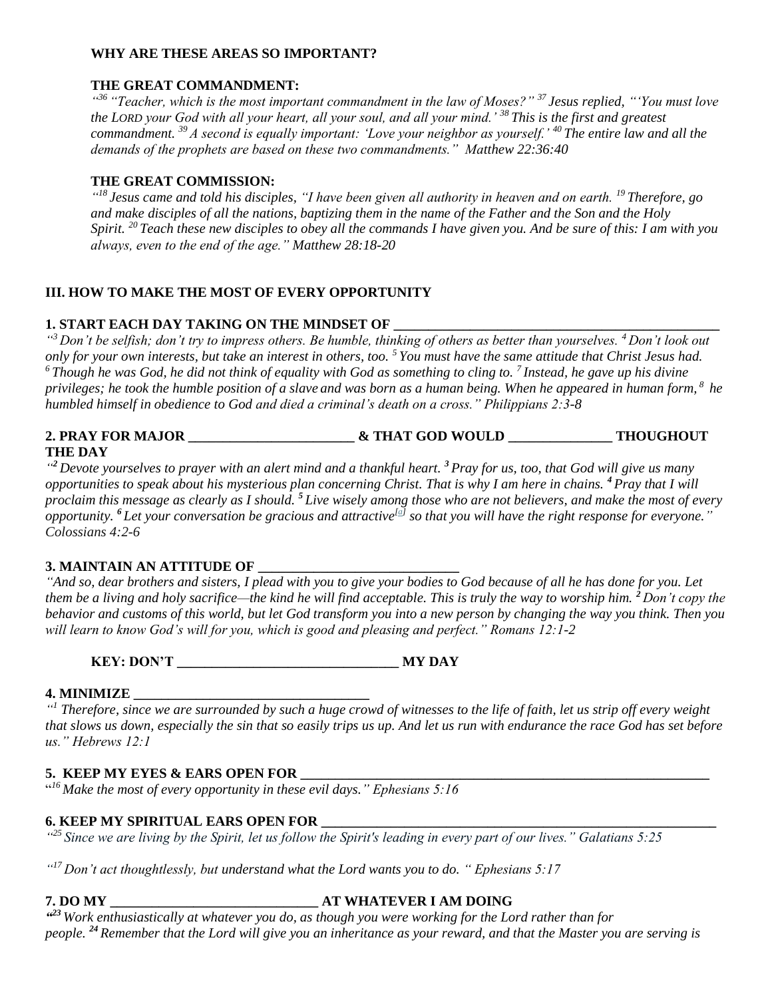#### **WHY ARE THESE AREAS SO IMPORTANT?**

### **THE GREAT COMMANDMENT:**

*" <sup>36</sup> "Teacher, which is the most important commandment in the law of Moses?" <sup>37</sup> Jesus replied, "'You must love the LORD your God with all your heart, all your soul, and all your mind.' <sup>38</sup> This is the first and greatest commandment. <sup>39</sup> A second is equally important: 'Love your neighbor as yourself.' <sup>40</sup> The entire law and all the demands of the prophets are based on these two commandments." Matthew 22:36:40*

# **THE GREAT COMMISSION:**

*" <sup>18</sup> Jesus came and told his disciples, "I have been given all authority in heaven and on earth. <sup>19</sup> Therefore, go and make disciples of all the nations, baptizing them in the name of the Father and the Son and the Holy Spirit. <sup>20</sup> Teach these new disciples to obey all the commands I have given you. And be sure of this: I am with you always, even to the end of the age." Matthew 28:18-20*

### **III. HOW TO MAKE THE MOST OF EVERY OPPORTUNITY**

### 1. START EACH DAY TAKING ON THE MINDSET OF

*" <sup>3</sup> Don't be selfish; don't try to impress others. Be humble, thinking of others as better than yourselves. <sup>4</sup> Don't look out only for your own interests, but take an interest in others, too. <sup>5</sup> You must have the same attitude that Christ Jesus had. <sup>6</sup> Though he was God, he did not think of equality with God as something to cling to. <sup>7</sup> Instead, he gave up his divine privileges; he took the humble position of a slave and was born as a human being. When he appeared in human form, <sup>8</sup> he humbled himself in obedience to God and died a criminal's death on a cross." Philippians 2:3-8*

#### **2. PRAY FOR MAJOR \_\_\_\_\_\_\_\_\_\_\_\_\_\_\_\_\_\_\_\_\_\_\_\_ & THAT GOD WOULD \_\_\_\_\_\_\_\_\_\_\_\_\_\_\_ THOUGHOUT THE DAY**

*" <sup>2</sup> Devote yourselves to prayer with an alert mind and a thankful heart. <sup>3</sup> Pray for us, too, that God will give us many opportunities to speak about his mysterious plan concerning Christ. That is why I am here in chains. <sup>4</sup> Pray that I will proclaim this message as clearly as I should. <sup>5</sup> Live wisely among those who are not believers, and make the most of every opportunity. <sup>6</sup> Let your conversation be gracious and attractive[\[a\]](https://www.biblegateway.com/passage/?search=Colossians+4%3A2-6&version=NLT#fen-NLT-29509a) so that you will have the right response for everyone." Colossians 4:2-6*

#### **3. MAINTAIN AN ATTITUDE OF \_\_\_\_\_\_\_\_\_\_\_\_\_\_\_\_\_\_\_\_\_\_\_\_\_\_\_\_\_**

*"And so, dear brothers and sisters, I plead with you to give your bodies to God because of all he has done for you. Let them be a living and holy sacrifice—the kind he will find acceptable. This is truly the way to worship him. <sup>2</sup> Don't copy the behavior and customs of this world, but let God transform you into a new person by changing the way you think. Then you will learn to know God's will for you, which is good and pleasing and perfect." Romans 12:1-2*

**KEY: DON'T \_\_\_\_\_\_\_\_\_\_\_\_\_\_\_\_\_\_\_\_\_\_\_\_\_\_\_\_\_\_\_\_ MY DAY**

# **4. MINIMIZE \_\_\_\_\_\_\_\_\_\_\_\_\_\_\_\_\_\_\_\_\_\_\_\_\_\_\_\_\_\_\_\_\_\_**

<sup>41</sup> Therefore, since we are surrounded by such a huge crowd of witnesses to the life of faith, let us strip off every weight *that slows us down, especially the sin that so easily trips us up. And let us run with endurance the race God has set before us." Hebrews 12:1*

# **5. KEEP MY EYES & EARS OPEN FOR**

" *<sup>16</sup> Make the most of every opportunity in these evil days." Ephesians 5:16*

# **6. KEEP MY SPIRITUAL EARS OPEN FOR**

*" <sup>25</sup>Since we are living by the Spirit, let us follow the Spirit's leading in every part of our lives." Galatians 5:25*

*" <sup>17</sup> Don't act thoughtlessly, but understand what the Lord wants you to do. " Ephesians 5:17*

# **7. DO MY \_\_\_\_\_\_\_\_\_\_\_\_\_\_\_\_\_\_\_\_\_\_\_\_\_\_\_\_\_\_ AT WHATEVER I AM DOING**

*" <sup>23</sup> Work enthusiastically at whatever you do, as though you were working for the Lord rather than for people. <sup>24</sup> Remember that the Lord will give you an inheritance as your reward, and that the Master you are serving is*